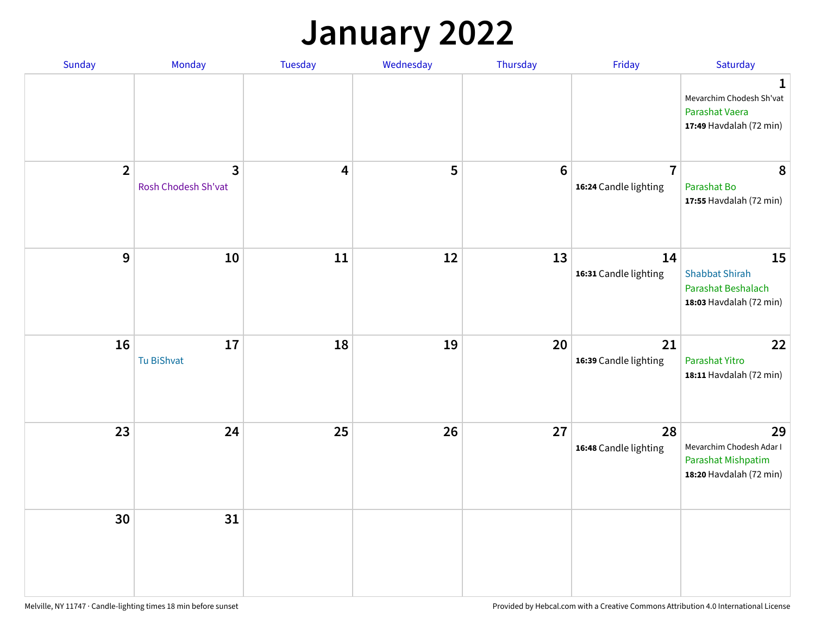## **January 2022**

| Sunday           | Monday                                | Tuesday                 | Wednesday | Thursday        | Friday                                  | Saturday                                                                        |
|------------------|---------------------------------------|-------------------------|-----------|-----------------|-----------------------------------------|---------------------------------------------------------------------------------|
|                  |                                       |                         |           |                 |                                         | 1<br>Mevarchim Chodesh Sh'vat<br>Parashat Vaera<br>17:49 Havdalah (72 min)      |
| $\overline{2}$   | $\overline{3}$<br>Rosh Chodesh Sh'vat | $\overline{\mathbf{4}}$ | 5         | $6\phantom{1}6$ | $\overline{7}$<br>16:24 Candle lighting | 8<br>Parashat Bo<br>17:55 Havdalah (72 min)                                     |
| $\boldsymbol{9}$ | ${\bf 10}$                            | 11                      | 12        | 13              | 14<br>16:31 Candle lighting             | 15<br><b>Shabbat Shirah</b><br>Parashat Beshalach<br>18:03 Havdalah (72 min)    |
| 16               | $17\,$<br>Tu BiShvat                  | 18                      | 19        | 20              | 21<br>16:39 Candle lighting             | 22<br>Parashat Yitro<br>18:11 Havdalah (72 min)                                 |
| 23               | 24                                    | 25                      | 26        | 27              | 28<br>16:48 Candle lighting             | 29<br>Mevarchim Chodesh Adar I<br>Parashat Mishpatim<br>18:20 Havdalah (72 min) |
| 30               | 31                                    |                         |           |                 |                                         |                                                                                 |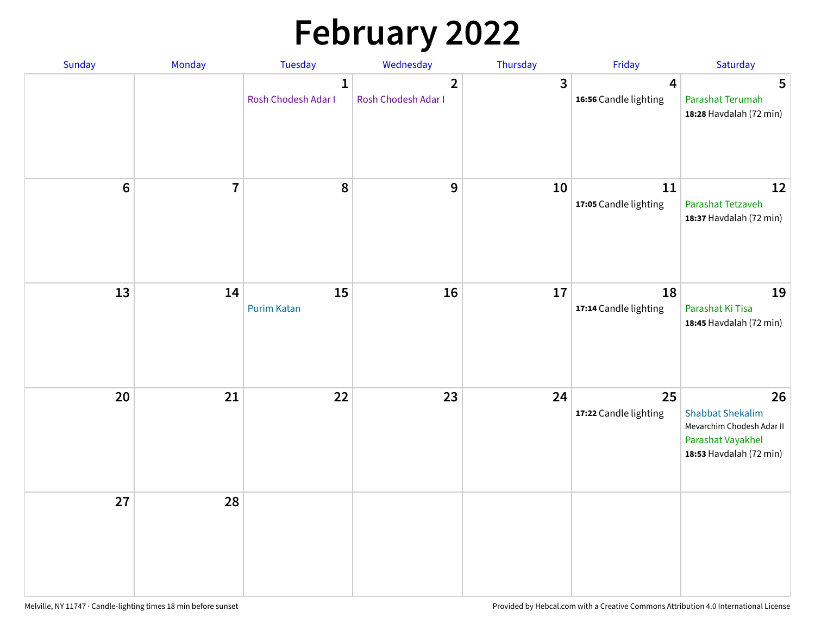# **February 2022**

| Sunday  | Monday                  | <b>Tuesday</b>                      | Wednesday                             | Thursday     | Friday                      | Saturday                                                                                                   |
|---------|-------------------------|-------------------------------------|---------------------------------------|--------------|-----------------------------|------------------------------------------------------------------------------------------------------------|
|         |                         | $\mathbf{1}$<br>Rosh Chodesh Adar I | $\overline{2}$<br>Rosh Chodesh Adar I | $\mathbf{3}$ | 4<br>16:56 Candle lighting  | 5<br>Parashat Terumah<br>18:28 Havdalah (72 min)                                                           |
| $\bf 6$ | $\overline{\mathbf{7}}$ | 8                                   | 9                                     | 10           | 11<br>17:05 Candle lighting | 12<br>Parashat Tetzaveh<br>18:37 Havdalah (72 min)                                                         |
| 13      | 14                      | 15<br><b>Purim Katan</b>            | 16                                    | 17           | 18<br>17:14 Candle lighting | 19<br>Parashat Ki Tisa<br>18:45 Havdalah (72 min)                                                          |
| 20      | 21                      | 22                                  | 23                                    | 24           | 25<br>17:22 Candle lighting | 26<br><b>Shabbat Shekalim</b><br>Mevarchim Chodesh Adar II<br>Parashat Vayakhel<br>18:53 Havdalah (72 min) |
| 27      | 28                      |                                     |                                       |              |                             |                                                                                                            |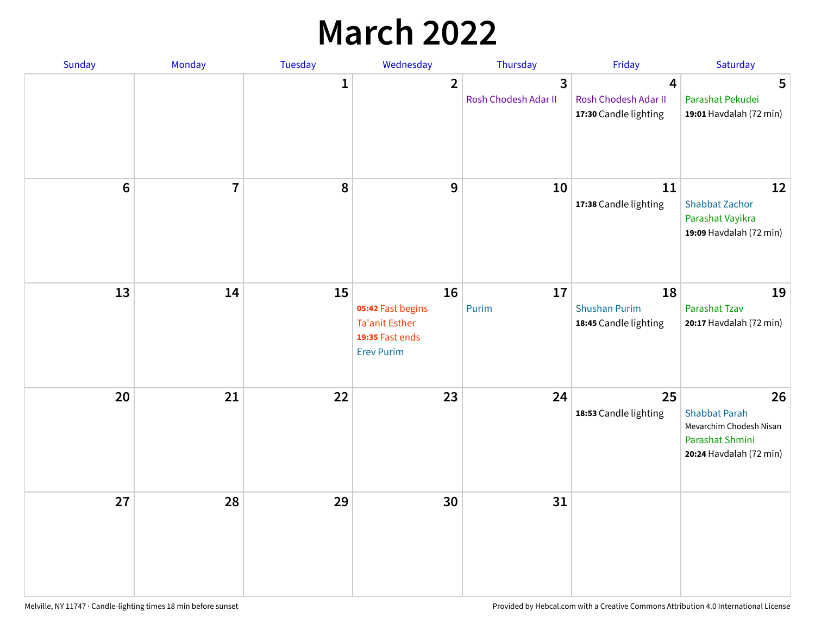## **March 2022**

| Sunday         | Monday         | <b>Tuesday</b> | Wednesday                                                                         | Thursday                  | Friday                                              | Saturday                                                                                            |
|----------------|----------------|----------------|-----------------------------------------------------------------------------------|---------------------------|-----------------------------------------------------|-----------------------------------------------------------------------------------------------------|
|                |                | $\mathbf{1}$   | $\overline{2}$                                                                    | 3<br>Rosh Chodesh Adar II | 4<br>Rosh Chodesh Adar II<br>17:30 Candle lighting  | 5<br>Parashat Pekudei<br>19:01 Havdalah (72 min)                                                    |
| $6\phantom{1}$ | $\overline{7}$ | 8              | 9                                                                                 | 10                        | 11<br>17:38 Candle lighting                         | 12<br><b>Shabbat Zachor</b><br>Parashat Vayikra<br>19:09 Havdalah (72 min)                          |
| 13             | 14             | 15             | 16<br>05:42 Fast begins<br>Ta'anit Esther<br>19:35 Fast ends<br><b>Erev Purim</b> | 17<br>Purim               | 18<br><b>Shushan Purim</b><br>18:45 Candle lighting | 19<br>Parashat Tzav<br>20:17 Havdalah (72 min)                                                      |
| 20             | 21             | 22             | 23                                                                                | 24                        | 25<br>18:53 Candle lighting                         | 26<br><b>Shabbat Parah</b><br>Mevarchim Chodesh Nisan<br>Parashat Shmini<br>20:24 Havdalah (72 min) |
| 27             | 28             | 29             | 30                                                                                | 31                        |                                                     |                                                                                                     |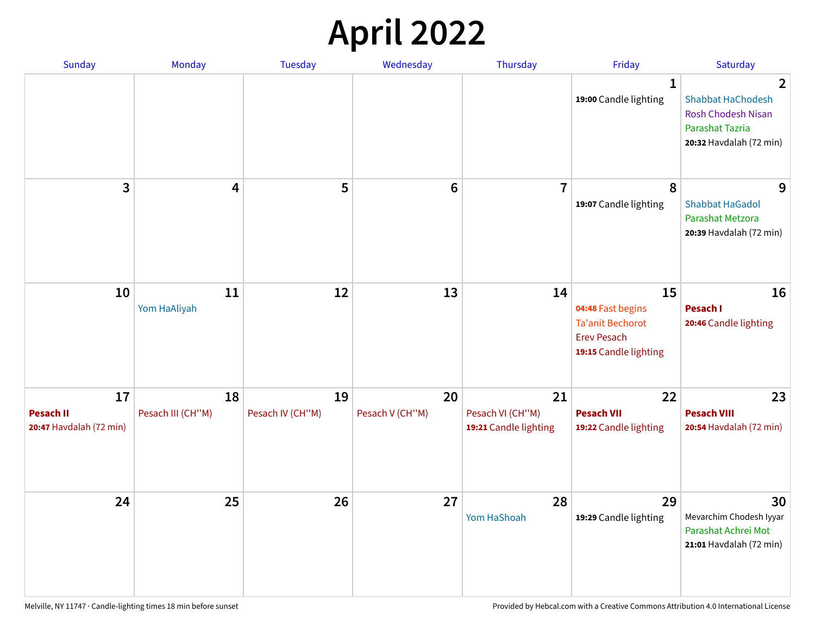## **April 2022**

| <b>Sunday</b>                                     | Monday                  | <b>Tuesday</b>         | Wednesday             | Thursday                                        | Friday                                                                                            | Saturday                                                                                                                     |
|---------------------------------------------------|-------------------------|------------------------|-----------------------|-------------------------------------------------|---------------------------------------------------------------------------------------------------|------------------------------------------------------------------------------------------------------------------------------|
|                                                   |                         |                        |                       |                                                 | 1<br>19:00 Candle lighting                                                                        | $\overline{2}$<br><b>Shabbat HaChodesh</b><br><b>Rosh Chodesh Nisan</b><br><b>Parashat Tazria</b><br>20:32 Havdalah (72 min) |
| 3                                                 | 4                       | 5                      | $6\phantom{1}6$       | $\overline{7}$                                  | 8<br>19:07 Candle lighting                                                                        | 9<br><b>Shabbat HaGadol</b><br>Parashat Metzora<br>20:39 Havdalah (72 min)                                                   |
| 10                                                | 11<br>Yom HaAliyah      | 12                     | 13                    | 14                                              | 15<br>04:48 Fast begins<br><b>Ta'anit Bechorot</b><br><b>Erev Pesach</b><br>19:15 Candle lighting | 16<br>Pesach I<br>20:46 Candle lighting                                                                                      |
| 17<br><b>Pesach II</b><br>20:47 Havdalah (72 min) | 18<br>Pesach III (CH"M) | 19<br>Pesach IV (CH"M) | 20<br>Pesach V (CH"M) | 21<br>Pesach VI (CH"M)<br>19:21 Candle lighting | 22<br><b>Pesach VII</b><br>19:22 Candle lighting                                                  | 23<br><b>Pesach VIII</b><br>20:54 Havdalah (72 min)                                                                          |
| 24                                                | 25                      | 26                     | 27                    | 28<br>Yom HaShoah                               | 29<br>19:29 Candle lighting                                                                       | 30<br>Mevarchim Chodesh Iyyar<br>Parashat Achrei Mot<br>21:01 Havdalah (72 min)                                              |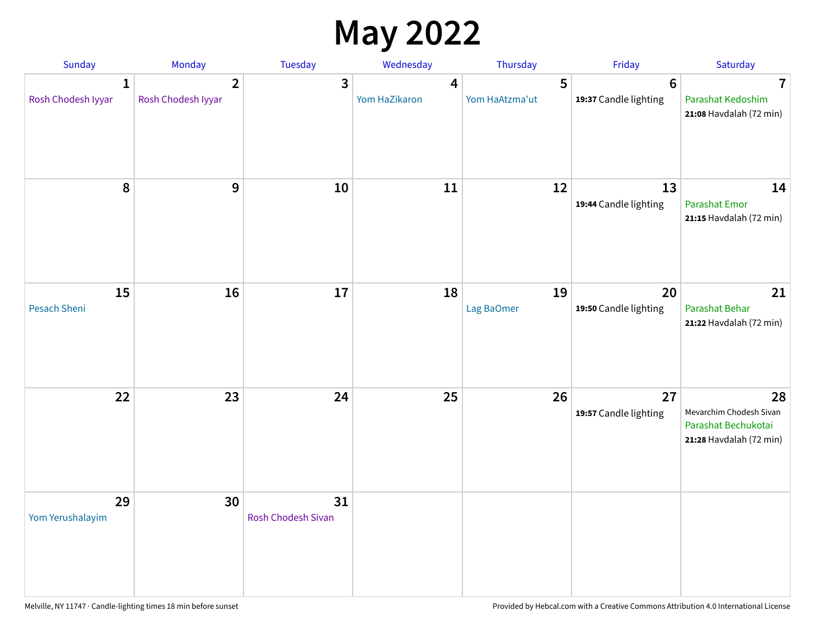### **May 2022**

| Sunday                             | Monday                               | Tuesday                         | Wednesday          | Thursday            | Friday                                   | Saturday                                                                        |
|------------------------------------|--------------------------------------|---------------------------------|--------------------|---------------------|------------------------------------------|---------------------------------------------------------------------------------|
| $\mathbf{1}$<br>Rosh Chodesh Iyyar | $\overline{2}$<br>Rosh Chodesh Iyyar | 3                               | 4<br>Yom HaZikaron | 5<br>Yom HaAtzma'ut | $6\phantom{1}6$<br>19:37 Candle lighting | $\overline{\mathbf{7}}$<br>Parashat Kedoshim<br>21:08 Havdalah (72 min)         |
| 8                                  | 9                                    | 10                              | 11                 | 12                  | 13<br>19:44 Candle lighting              | 14<br><b>Parashat Emor</b><br>21:15 Havdalah (72 min)                           |
| 15<br>Pesach Sheni                 | 16                                   | 17                              | 18                 | 19<br>Lag BaOmer    | 20<br>19:50 Candle lighting              | 21<br>Parashat Behar<br>21:22 Havdalah (72 min)                                 |
| 22                                 | 23                                   | 24                              | 25                 | 26                  | 27<br>19:57 Candle lighting              | 28<br>Mevarchim Chodesh Sivan<br>Parashat Bechukotai<br>21:28 Havdalah (72 min) |
| 29<br>Yom Yerushalayim             | 30                                   | 31<br><b>Rosh Chodesh Sivan</b> |                    |                     |                                          |                                                                                 |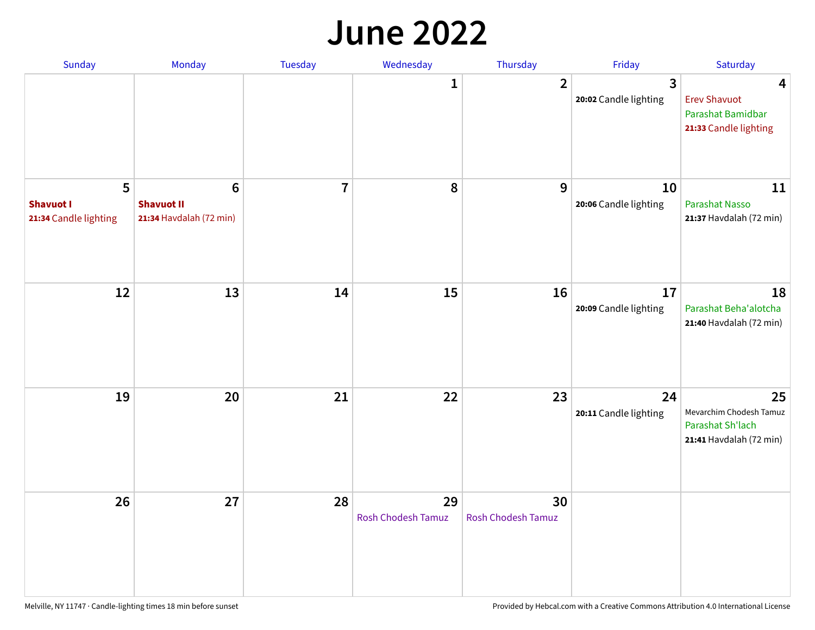#### **June 2022**

| Sunday                                         | Monday                                            | Tuesday        | Wednesday                       | Thursday                        | Friday                      | Saturday                                                                     |
|------------------------------------------------|---------------------------------------------------|----------------|---------------------------------|---------------------------------|-----------------------------|------------------------------------------------------------------------------|
|                                                |                                                   |                | 1                               | $\overline{2}$                  | 3<br>20:02 Candle lighting  | 4<br><b>Erev Shavuot</b><br>Parashat Bamidbar<br>21:33 Candle lighting       |
| 5<br><b>Shavuot I</b><br>21:34 Candle lighting | 6<br><b>Shavuot II</b><br>21:34 Havdalah (72 min) | $\overline{7}$ | 8                               | 9                               | 10<br>20:06 Candle lighting | 11<br>Parashat Nasso<br>21:37 Havdalah (72 min)                              |
| 12                                             | 13                                                | 14             | 15                              | 16                              | 17<br>20:09 Candle lighting | 18<br>Parashat Beha'alotcha<br>21:40 Havdalah (72 min)                       |
| 19                                             | 20                                                | 21             | 22                              | 23                              | 24<br>20:11 Candle lighting | 25<br>Mevarchim Chodesh Tamuz<br>Parashat Sh'lach<br>21:41 Havdalah (72 min) |
| 26                                             | 27                                                | 28             | 29<br><b>Rosh Chodesh Tamuz</b> | 30<br><b>Rosh Chodesh Tamuz</b> |                             |                                                                              |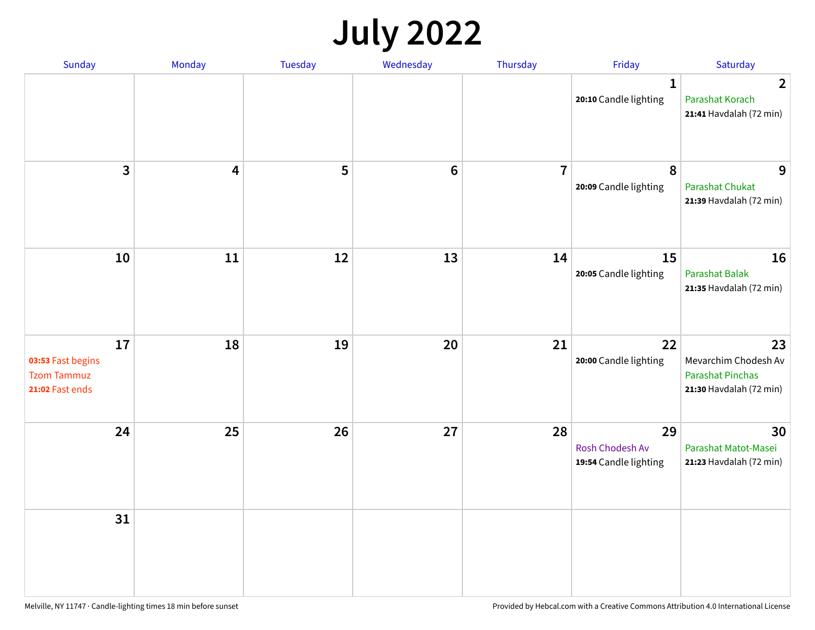## **July 2022**

| Sunday                                                           | Monday | Tuesday | Wednesday      | Thursday       | Friday                                         | Saturday                                                                         |
|------------------------------------------------------------------|--------|---------|----------------|----------------|------------------------------------------------|----------------------------------------------------------------------------------|
|                                                                  |        |         |                |                | $\mathbf{1}$<br>20:10 Candle lighting          | $\overline{2}$<br>Parashat Korach<br>21:41 Havdalah (72 min)                     |
| $\overline{3}$                                                   | 4      | 5       | $6\phantom{1}$ | $\overline{7}$ | 8<br>20:09 Candle lighting                     | 9<br>Parashat Chukat<br>21:39 Havdalah (72 min)                                  |
| 10                                                               | 11     | 12      | 13             | 14             | 15<br>20:05 Candle lighting                    | 16<br><b>Parashat Balak</b><br>21:35 Havdalah (72 min)                           |
| 17<br>03:53 Fast begins<br><b>Tzom Tammuz</b><br>21:02 Fast ends | 18     | 19      | 20             | 21             | 22<br>20:00 Candle lighting                    | 23<br>Mevarchim Chodesh Av<br><b>Parashat Pinchas</b><br>21:30 Havdalah (72 min) |
| 24                                                               | 25     | 26      | 27             | 28             | 29<br>Rosh Chodesh Av<br>19:54 Candle lighting | 30<br>Parashat Matot-Masei<br>21:23 Havdalah (72 min)                            |
| 31                                                               |        |         |                |                |                                                |                                                                                  |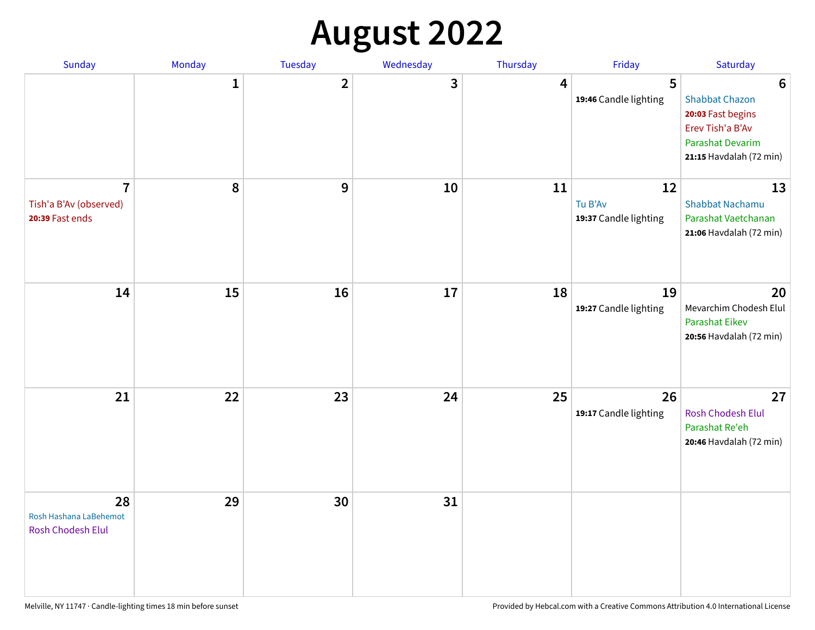## **August 2022**

| Sunday                                                      | Monday       | Tuesday                 | Wednesday | Thursday | Friday                                 | Saturday                                                                                                                         |
|-------------------------------------------------------------|--------------|-------------------------|-----------|----------|----------------------------------------|----------------------------------------------------------------------------------------------------------------------------------|
|                                                             | $\mathbf{1}$ | $\overline{\mathbf{2}}$ | 3         | 4        | 5<br>19:46 Candle lighting             | $6\phantom{1}6$<br><b>Shabbat Chazon</b><br>20:03 Fast begins<br>Erev Tish'a B'Av<br>Parashat Devarim<br>21:15 Havdalah (72 min) |
| $\overline{7}$<br>Tish'a B'Av (observed)<br>20:39 Fast ends | 8            | 9                       | 10        | 11       | 12<br>Tu B'Av<br>19:37 Candle lighting | 13<br><b>Shabbat Nachamu</b><br>Parashat Vaetchanan<br>21:06 Havdalah (72 min)                                                   |
| 14                                                          | 15           | 16                      | 17        | 18       | 19<br>19:27 Candle lighting            | 20<br>Mevarchim Chodesh Elul<br><b>Parashat Eikev</b><br>20:56 Havdalah (72 min)                                                 |
| 21                                                          | 22           | 23                      | 24        | 25       | 26<br>19:17 Candle lighting            | 27<br><b>Rosh Chodesh Elul</b><br>Parashat Re'eh<br>20:46 Havdalah (72 min)                                                      |
| 28<br>Rosh Hashana LaBehemot<br>Rosh Chodesh Elul           | 29           | 30                      | 31        |          |                                        |                                                                                                                                  |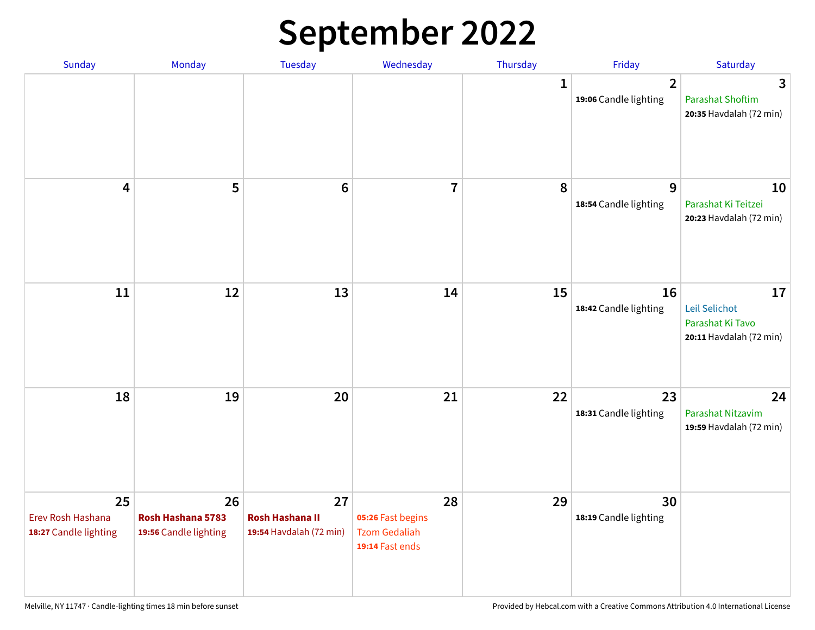## **September 2022**

| Sunday                                           | Monday                                           | Tuesday                                                 | Wednesday                                                          | Thursday | Friday                                  | Saturday                                                           |
|--------------------------------------------------|--------------------------------------------------|---------------------------------------------------------|--------------------------------------------------------------------|----------|-----------------------------------------|--------------------------------------------------------------------|
|                                                  |                                                  |                                                         |                                                                    | 1        | $\overline{2}$<br>19:06 Candle lighting | 3<br><b>Parashat Shoftim</b><br>20:35 Havdalah (72 min)            |
| 4                                                | 5                                                | $6\phantom{1}6$                                         | $\overline{7}$                                                     | 8        | 9<br>18:54 Candle lighting              | 10<br>Parashat Ki Teitzei<br>20:23 Havdalah (72 min)               |
| 11                                               | 12                                               | 13                                                      | 14                                                                 | 15       | 16<br>18:42 Candle lighting             | 17<br>Leil Selichot<br>Parashat Ki Tavo<br>20:11 Havdalah (72 min) |
| 18                                               | 19                                               | 20                                                      | 21                                                                 | 22       | 23<br>18:31 Candle lighting             | 24<br>Parashat Nitzavim<br>19:59 Havdalah (72 min)                 |
| 25<br>Erev Rosh Hashana<br>18:27 Candle lighting | 26<br>Rosh Hashana 5783<br>19:56 Candle lighting | 27<br><b>Rosh Hashana II</b><br>19:54 Havdalah (72 min) | 28<br>05:26 Fast begins<br><b>Tzom Gedaliah</b><br>19:14 Fast ends | 29       | 30<br>18:19 Candle lighting             |                                                                    |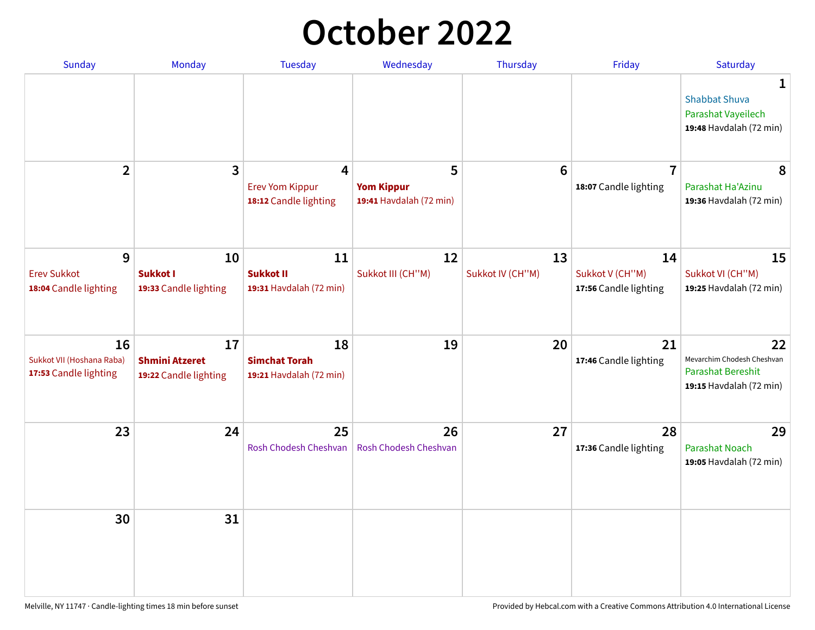## **October 2022**

| <b>Sunday</b>                                            | <b>Monday</b>                                        | <b>Tuesday</b>                                        | Wednesday                                         | Thursday               | Friday                                         | Saturday                                                                         |
|----------------------------------------------------------|------------------------------------------------------|-------------------------------------------------------|---------------------------------------------------|------------------------|------------------------------------------------|----------------------------------------------------------------------------------|
|                                                          |                                                      |                                                       |                                                   |                        |                                                | 1<br><b>Shabbat Shuva</b><br>Parashat Vayeilech<br>19:48 Havdalah (72 min)       |
| $\overline{2}$                                           | $\overline{\mathbf{3}}$                              | 4<br><b>Erev Yom Kippur</b><br>18:12 Candle lighting  | 5<br><b>Yom Kippur</b><br>19:41 Havdalah (72 min) | $6\phantom{1}6$        | $\overline{7}$<br>18:07 Candle lighting        | 8<br>Parashat Ha'Azinu<br>19:36 Havdalah (72 min)                                |
| 9<br><b>Erev Sukkot</b><br>18:04 Candle lighting         | 10<br><b>Sukkot I</b><br>19:33 Candle lighting       | 11<br><b>Sukkot II</b><br>19:31 Havdalah (72 min)     | 12<br>Sukkot III (CH"M)                           | 13<br>Sukkot IV (CH"M) | 14<br>Sukkot V (CH"M)<br>17:56 Candle lighting | 15<br>Sukkot VI (CH"M)<br>19:25 Havdalah (72 min)                                |
| 16<br>Sukkot VII (Hoshana Raba)<br>17:53 Candle lighting | 17<br><b>Shmini Atzeret</b><br>19:22 Candle lighting | 18<br><b>Simchat Torah</b><br>19:21 Havdalah (72 min) | 19                                                | 20                     | 21<br>17:46 Candle lighting                    | 22<br>Mevarchim Chodesh Cheshvan<br>Parashat Bereshit<br>19:15 Havdalah (72 min) |
| 23                                                       | 24                                                   | 25<br>Rosh Chodesh Cheshvan                           | 26<br>Rosh Chodesh Cheshvan                       | 27                     | 28<br>17:36 Candle lighting                    | 29<br><b>Parashat Noach</b><br>19:05 Havdalah (72 min)                           |
| 30                                                       | 31                                                   |                                                       |                                                   |                        |                                                |                                                                                  |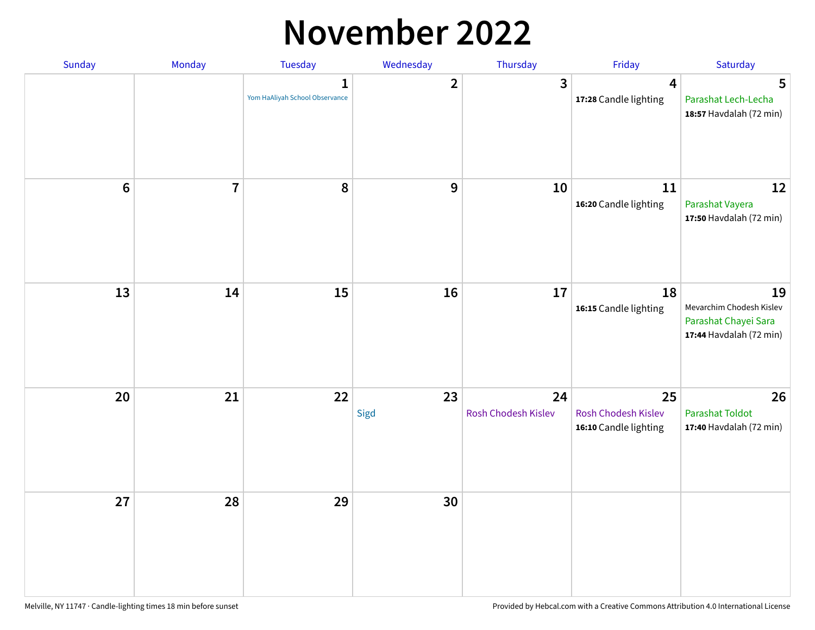#### **November 2022**

| Sunday         | Monday         | Tuesday                             | Wednesday      | Thursday                  | Friday                                             | Saturday                                                                          |
|----------------|----------------|-------------------------------------|----------------|---------------------------|----------------------------------------------------|-----------------------------------------------------------------------------------|
|                |                | 1<br>Yom HaAliyah School Observance | $\overline{2}$ | $\mathbf{3}$              | 4<br>17:28 Candle lighting                         | 5<br>Parashat Lech-Lecha<br>18:57 Havdalah (72 min)                               |
| $6\phantom{1}$ | $\overline{7}$ | 8                                   | 9              | 10                        | 11<br>16:20 Candle lighting                        | 12<br>Parashat Vayera<br>17:50 Havdalah (72 min)                                  |
| 13             | 14             | 15                                  | 16             | 17                        | 18<br>16:15 Candle lighting                        | 19<br>Mevarchim Chodesh Kislev<br>Parashat Chayei Sara<br>17:44 Havdalah (72 min) |
| 20             | 21             | 22                                  | 23<br>Sigd     | 24<br>Rosh Chodesh Kislev | 25<br>Rosh Chodesh Kislev<br>16:10 Candle lighting | 26<br><b>Parashat Toldot</b><br>17:40 Havdalah (72 min)                           |
| 27             | 28             | 29                                  | 30             |                           |                                                    |                                                                                   |